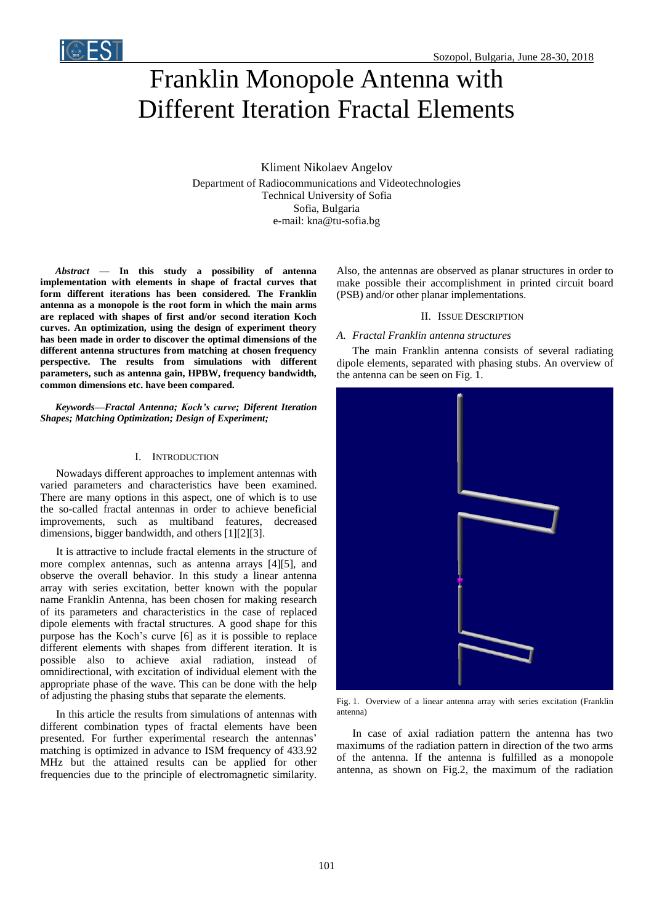

# Franklin Monopole Antenna with Different Iteration Fractal Elements

Kliment Nikolaev Angelov Department of Radiocommunications and Videotechnologies Technical University of Sofia Sofia, Bulgaria e-mail: kna@tu-sofia.bg

*Abstract* **— In this study a possibility of antenna implementation with elements in shape of fractal curves that form different iterations has been considered. The Franklin antenna as a monopole is the root form in which the main arms are replaced with shapes of first and/or second iteration Koch curves. An optimization, using the design of experiment theory has been made in order to discover the optimal dimensions of the different antenna structures from matching at chosen frequency perspective. The results from simulations with different parameters, such as antenna gain, HPBW, frequency bandwidth, common dimensions etc. have been compared.**

*Keywords—Fractal Antenna; Koch's curve; Diferent Iteration Shapes; Matching Optimization; Design of Experiment;*

## I. INTRODUCTION

Nowadays different approaches to implement antennas with varied parameters and characteristics have been examined. There are many options in this aspect, one of which is to use the so-called fractal antennas in order to achieve beneficial improvements, such as multiband features, decreased dimensions, bigger bandwidth, and others [1][2][3].

It is attractive to include fractal elements in the structure of more complex antennas, such as antenna arrays [4][5], and observe the overall behavior. In this study a linear antenna array with series excitation, better known with the popular name Franklin Antenna, has been chosen for making research of its parameters and characteristics in the case of replaced dipole elements with fractal structures. A good shape for this purpose has the Koch's curve [6] as it is possible to replace different elements with shapes from different iteration. It is possible also to achieve axial radiation, instead of omnidirectional, with excitation of individual element with the appropriate phase of the wave. This can be done with the help of adjusting the phasing stubs that separate the elements.

In this article the results from simulations of antennas with different combination types of fractal elements have been presented. For further experimental research the antennas' matching is optimized in advance to ISM frequency of 433.92 MHz but the attained results can be applied for other frequencies due to the principle of electromagnetic similarity. Also, the antennas are observed as planar structures in order to make possible their accomplishment in printed circuit board (PSB) and/or other planar implementations.

#### II. ISSUE DESCRIPTION

## *A. Fractal Franklin antenna structures*

The main Franklin antenna consists of several radiating dipole elements, separated with phasing stubs. An overview of the antenna can be seen on Fig. 1.



Fig. 1. Overview of a linear antenna array with series excitation (Franklin antenna)

In case of axial radiation pattern the antenna has two maximums of the radiation pattern in direction of the two arms of the antenna. If the antenna is fulfilled as a monopole antenna, as shown on Fig.2, the maximum of the radiation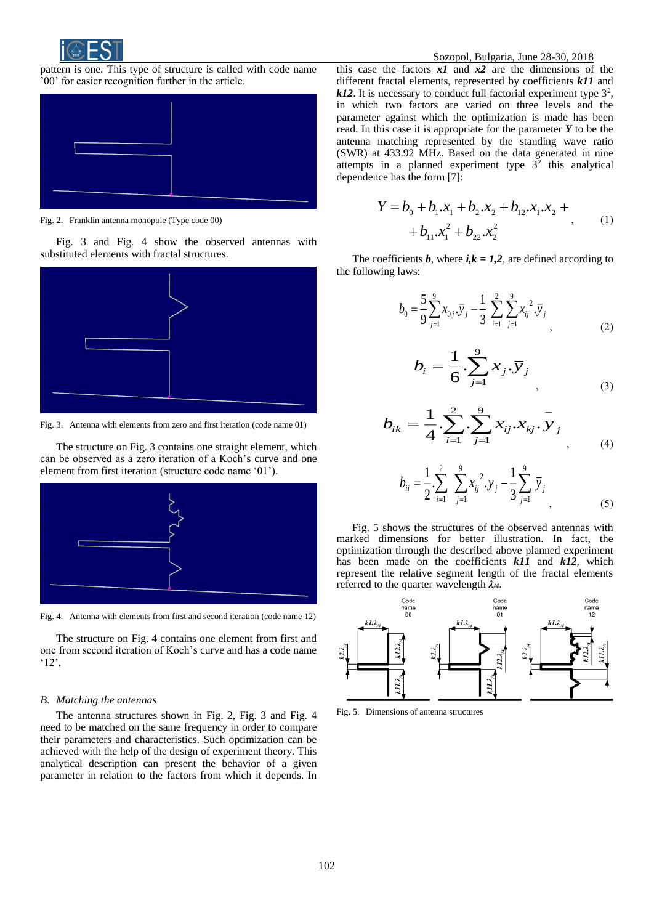

pattern is one. This type of structure is called with code name '00' for easier recognition further in the article.



Fig. 2. Franklin antenna monopole (Type code 00)

Fig. 3 and Fig. 4 show the observed antennas with substituted elements with fractal structures.



Fig. 3. Antenna with elements from zero and first iteration (code name 01)

The structure on Fig. 3 contains one straight element, which can be observed as a zero iteration of a Koch's curve and one element from first iteration (structure code name '01').



Fig. 4. Antenna with elements from first and second iteration (code name 12)

The structure on Fig. 4 contains one element from first and one from second iteration of Koch's curve and has a code name '12'.

## *B. Matching the antennas*

The antenna structures shown in Fig. 2, Fig. 3 and Fig. 4 need to be matched on the same frequency in order to compare their parameters and characteristics. Such optimization can be achieved with the help of the design of experiment theory. This analytical description can present the behavior of a given parameter in relation to the factors from which it depends. In

this case the factors *x1* and *x2* are the dimensions of the different fractal elements, represented by coefficients *k11* and  $k12$ . It is necessary to conduct full factorial experiment type  $3<sup>2</sup>$ , in which two factors are varied on three levels and the parameter against which the optimization is made has been read. In this case it is appropriate for the parameter *Y* to be the antenna matching represented by the standing wave ratio (SWR) at 433.92 MHz. Based on the data generated in nine attempts in a planned experiment type  $3^2$  this analytical dependence has the form [7]:

$$
Y = b_0 + b_1 x_1 + b_2 x_2 + b_{12} x_1 x_2 +
$$
  
+  $b_{11} x_1^2 + b_{22} x_2^2$  (1)

The coefficients *b*, where  $i, k = 1, 2$ , are defined according to the following laws:

$$
b_0 = \frac{5}{9} \sum_{j=1}^{9} x_{0j} \cdot \overline{y}_j - \frac{1}{3} \sum_{i=1}^{2} \sum_{j=1}^{9} x_{ij}^{2} \cdot \overline{y}_j
$$
(2)

$$
b_{i} = \frac{1}{6} \sum_{j=1}^{9} x_{j} \cdot \overline{y}_{j}
$$
 (3)

$$
b_{ik} = \frac{1}{4} \cdot \sum_{i=1}^{2} \cdot \sum_{j=1}^{9} x_{ij} \cdot x_{kj} \cdot \overline{y}_{j}
$$
 (4)

$$
b_{ii} = \frac{1}{2} \sum_{i=1}^{2} \sum_{j=1}^{9} x_{ij}^{2} \cdot y_{j} - \frac{1}{3} \sum_{j=1}^{9} \bar{y}_{j}
$$
(5)

Fig. 5 shows the structures of the observed antennas with marked dimensions for better illustration. In fact, the optimization through the described above planned experiment has been made on the coefficients *k11* and *k12*, which represent the relative segment length of the fractal elements referred to the quarter wavelength *λ/4*.



Fig. 5. Dimensions of antenna structures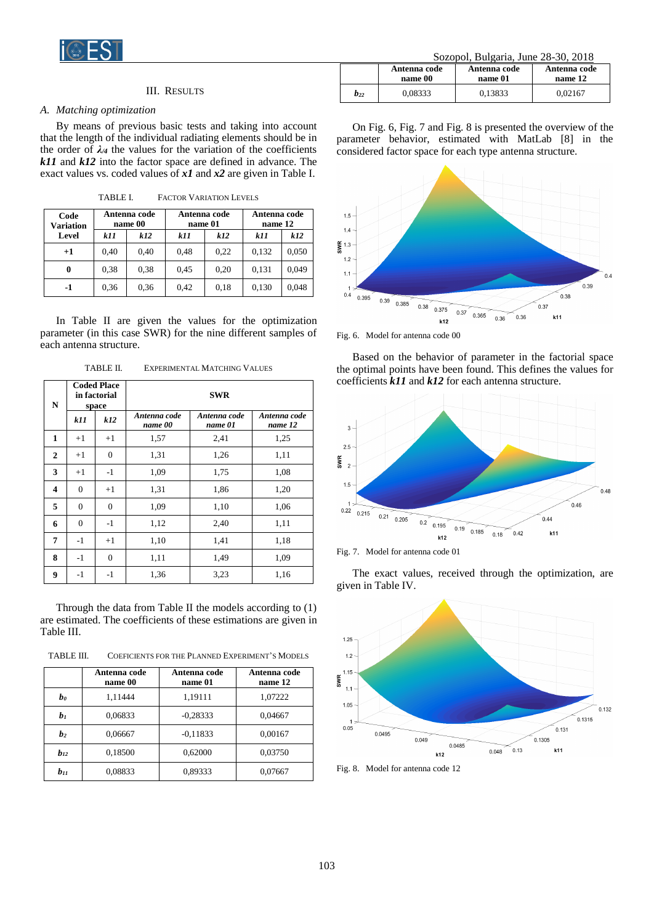

## III. RESULTS

## *A. Matching optimization*

By means of previous basic tests and taking into account that the length of the individual radiating elements should be in the order of  $\lambda_4$  the values for the variation of the coefficients *k11* and *k12* into the factor space are defined in advance. The exact values vs. coded values of *x1* and *x2* are given in Table I.

| Code<br><b>Variation</b> | Antenna code<br>name 00 |      | Antenna code<br>name 01 |      | Antenna code<br>name 12 |       |
|--------------------------|-------------------------|------|-------------------------|------|-------------------------|-------|
| Level                    | k11                     | k12  | k11                     | k12  | k11                     | k12   |
| $+1$                     | 0.40                    | 0.40 | 0,48                    | 0,22 | 0,132                   | 0,050 |
| 0                        | 0.38                    | 0.38 | 0,45                    | 0,20 | 0.131                   | 0,049 |
| -1                       | 0.36                    | 0.36 | 0.42                    | 0,18 | 0,130                   | 0,048 |

TABLE I. FACTOR VARIATION LEVELS

In Table II are given the values for the optimization parameter (in this case SWR) for the nine different samples of each antenna structure.

| N            |                | <b>Coded Place</b><br>in factorial<br>space |                         | <b>SWR</b>              |                         |  |
|--------------|----------------|---------------------------------------------|-------------------------|-------------------------|-------------------------|--|
|              | <i>k11</i>     | k12                                         | Antenna code<br>name 00 | Antenna code<br>name 01 | Antenna code<br>name 12 |  |
| $\mathbf{1}$ | $+1$           | $+1$                                        | 1,57                    | 2,41                    | 1,25                    |  |
| $\mathbf{2}$ | $+1$           | $\theta$                                    | 1,31                    | 1,26                    | 1,11                    |  |
| 3            | $+1$           | $-1$                                        | 1,09                    | 1,75                    | 1,08                    |  |
| 4            | $\overline{0}$ | $+1$                                        | 1,31                    | 1,86                    | 1,20                    |  |
| 5            | $\overline{0}$ | $\overline{0}$                              | 1,09                    | 1,10                    | 1,06                    |  |
| 6            | $\overline{0}$ | $-1$                                        | 1,12                    | 2,40                    | 1,11                    |  |
| 7            | $-1$           | $+1$                                        | 1,10                    | 1,41                    | 1,18                    |  |
| 8            | $-1$           | $\mathbf{0}$                                | 1,11                    | 1,49                    | 1,09                    |  |
| 9            | $-1$           | $-1$                                        | 1,36                    | 3,23                    | 1,16                    |  |

TABLE II. EXPERIMENTAL MATCHING VALUES

Through the data from Table II the models according to (1) are estimated. The coefficients of these estimations are given in Table III.

TABLE III. COEFICIENTS FOR THE PLANNED EXPERIMENT'S MODELS

|                | Antenna code<br>name 00 | Antenna code<br>name 01 | Antenna code<br>name 12 |
|----------------|-------------------------|-------------------------|-------------------------|
| bo             | 1,11444                 | 1,19111                 | 1,07222                 |
| b <sub>1</sub> | 0,06833                 | $-0,28333$              | 0,04667                 |
| b <sub>2</sub> | 0,06667                 | $-0,11833$              | 0,00167                 |
| $b_{12}$       | 0.18500                 | 0,62000                 | 0,03750                 |
| $b_{11}$       | 0,08833                 | 0,89333                 | 0,07667                 |

| Sozopol, Bulgaria, June 28-30, 2018 |  |  |
|-------------------------------------|--|--|
|                                     |  |  |

| 5020001. Duigaria. Julie 20-50. 2010 |                         |                         |                         |  |
|--------------------------------------|-------------------------|-------------------------|-------------------------|--|
|                                      | Antenna code<br>name 00 | Antenna code<br>name 01 | Antenna code<br>name 12 |  |
| $b_{22}$                             | 0,08333                 | 0.13833                 | 0.02167                 |  |

On Fig. 6, Fig. 7 and Fig. 8 is presented the overview of the parameter behavior, estimated with MatLab [8] in the considered factor space for each type antenna structure.



Fig. 6. Model for antenna code 00

Based on the behavior of parameter in the factorial space the optimal points have been found. This defines the values for coefficients *k11* and *k12* for each antenna structure.



Fig. 7. Model for antenna code 01

The exact values, received through the optimization, are given in Table IV.



Fig. 8. Model for antenna code 12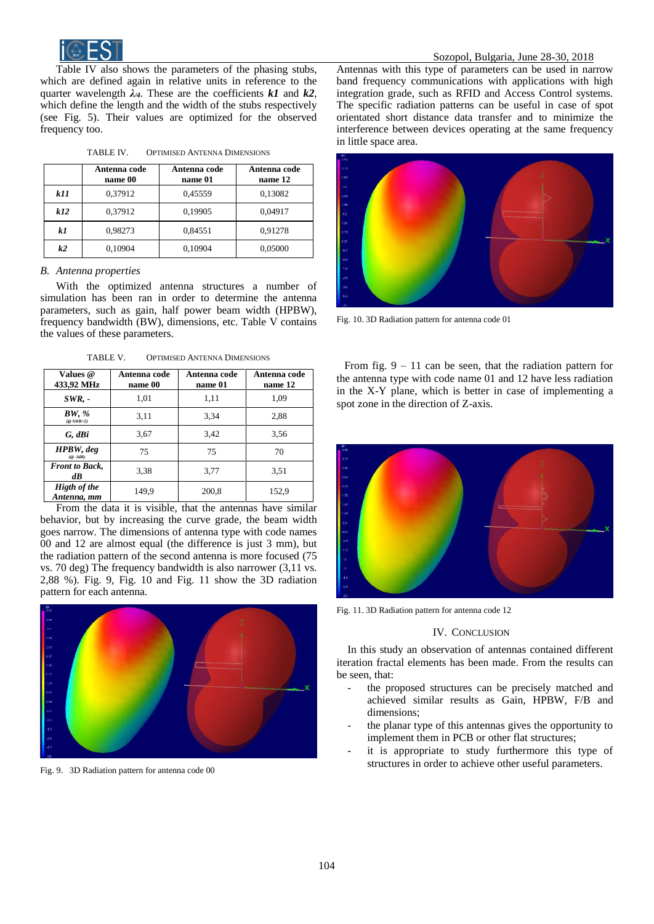

Table IV also shows the parameters of the phasing stubs, which are defined again in relative units in reference to the quarter wavelength  $\lambda_A$ . These are the coefficients  $k1$  and  $k2$ , which define the length and the width of the stubs respectively (see Fig. 5). Their values are optimized for the observed frequency too.

|     | Antenna code<br>name 00 | Antenna code<br>name 01 | Antenna code<br>name 12 |
|-----|-------------------------|-------------------------|-------------------------|
| k11 | 0,37912                 | 0,45559                 | 0,13082                 |
| k12 | 0,37912                 | 0,19905                 | 0,04917                 |
| k1  | 0,98273                 | 0,84551                 | 0,91278                 |
| k2  | 0.10904                 | 0.10904                 | 0.05000                 |

TABLE IV. OPTIMISED ANTENNA DIMENSIONS

## *B. Antenna properties*

With the optimized antenna structures a number of simulation has been ran in order to determine the antenna parameters, such as gain, half power beam width (HPBW), frequency bandwidth (BW), dimensions, etc. Table V contains the values of these parameters.

TABLE V. OPTIMISED ANTENNA DIMENSIONS

| Values @<br>433,92 MHz                 | Antenna code<br>name 00 | Antenna code<br>name 01 | Antenna code<br>name 12 |
|----------------------------------------|-------------------------|-------------------------|-------------------------|
| $SWR. -$                               | 1,01                    | 1,11                    | 1,09                    |
| BW, %<br>$(\textcircled{c}$ SWR<2)     | 3,11                    | 3.34                    | 2,88                    |
| G, dBi                                 | 3.67                    | 3.42                    | 3.56                    |
| HPBW, deg<br>$(@ -3dB)$                | 75                      | 75                      | 70                      |
| <b>Front to Back,</b><br>$d\mathbf{B}$ | 3.38                    | 3,77                    | 3,51                    |
| <b>Higth of the</b><br>Antenna, mm     | 149.9                   | 200,8                   | 152,9                   |

From the data it is visible, that the antennas have similar behavior, but by increasing the curve grade, the beam width goes narrow. The dimensions of antenna type with code names 00 and 12 are almost equal (the difference is just 3 mm), but the radiation pattern of the second antenna is more focused (75 vs. 70 deg) The frequency bandwidth is also narrower (3,11 vs. 2,88 %). Fig. 9, Fig. 10 and Fig. 11 show the 3D radiation pattern for each antenna.



Fig. 9. 3D Radiation pattern for antenna code 00

Antennas with this type of parameters can be used in narrow band frequency communications with applications with high integration grade, such as RFID and Access Control systems. The specific radiation patterns can be useful in case of spot orientated short distance data transfer and to minimize the interference between devices operating at the same frequency in little space area.



Fig. 10. 3D Radiation pattern for antenna code 01

From fig.  $9 - 11$  can be seen, that the radiation pattern for the antenna type with code name 01 and 12 have less radiation in the X-Y plane, which is better in case of implementing a spot zone in the direction of Z-axis.



Fig. 11. 3D Radiation pattern for antenna code 12

## IV. CONCLUSION

In this study an observation of antennas contained different iteration fractal elements has been made. From the results can be seen, that:

- the proposed structures can be precisely matched and achieved similar results as Gain, HPBW, F/B and dimensions;
- the planar type of this antennas gives the opportunity to implement them in PCB or other flat structures;
- it is appropriate to study furthermore this type of structures in order to achieve other useful parameters.